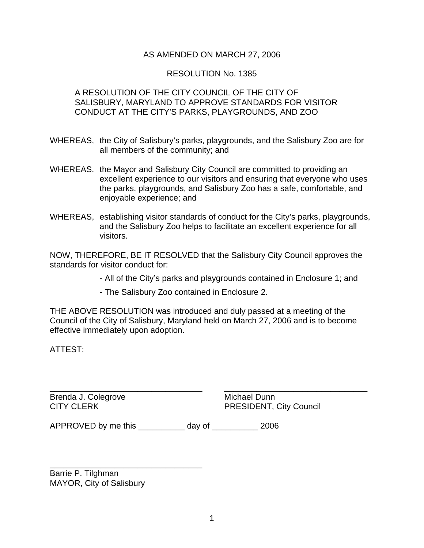#### AS AMENDED ON MARCH 27, 2006

#### RESOLUTION No. 1385

#### A RESOLUTION OF THE CITY COUNCIL OF THE CITY OF SALISBURY, MARYLAND TO APPROVE STANDARDS FOR VISITOR CONDUCT AT THE CITY'S PARKS, PLAYGROUNDS, AND ZOO

- WHEREAS, the City of Salisbury's parks, playgrounds, and the Salisbury Zoo are for all members of the community; and
- WHEREAS, the Mayor and Salisbury City Council are committed to providing an excellent experience to our visitors and ensuring that everyone who uses the parks, playgrounds, and Salisbury Zoo has a safe, comfortable, and enjoyable experience; and
- WHEREAS, establishing visitor standards of conduct for the City's parks, playgrounds, and the Salisbury Zoo helps to facilitate an excellent experience for all visitors.

NOW, THEREFORE, BE IT RESOLVED that the Salisbury City Council approves the standards for visitor conduct for:

- All of the City's parks and playgrounds contained in Enclosure 1; and
- The Salisbury Zoo contained in Enclosure 2.

THE ABOVE RESOLUTION was introduced and duly passed at a meeting of the Council of the City of Salisbury, Maryland held on March 27, 2006 and is to become effective immediately upon adoption.

\_\_\_\_\_\_\_\_\_\_\_\_\_\_\_\_\_\_\_\_\_\_\_\_\_\_\_\_\_\_\_\_\_ \_\_\_\_\_\_\_\_\_\_\_\_\_\_\_\_\_\_\_\_\_\_\_\_\_\_\_\_\_\_\_

ATTEST:

Brenda J. Colegrove **Michael Dunn** 

CITY CLERK PRESIDENT, City Council

APPROVED by me this \_\_\_\_\_\_\_\_\_\_ day of \_\_\_\_\_\_\_\_\_\_ 2006

Barrie P. Tilghman MAYOR, City of Salisbury

\_\_\_\_\_\_\_\_\_\_\_\_\_\_\_\_\_\_\_\_\_\_\_\_\_\_\_\_\_\_\_\_\_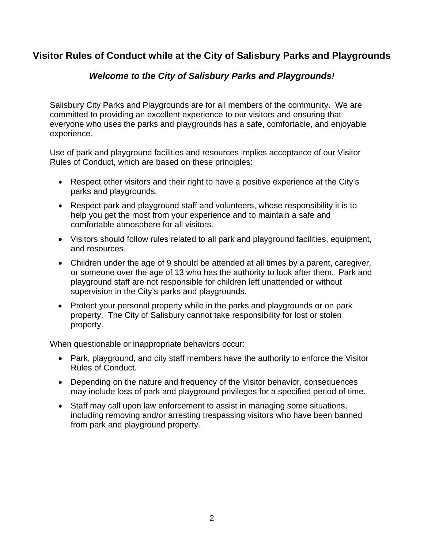# **Visitor Rules of Conduct while at the City of Salisbury Parks and Playgrounds**

### *Welcome to the City of Salisbury Parks and Playgrounds!*

Salisbury City Parks and Playgrounds are for all members of the community. We are committed to providing an excellent experience to our visitors and ensuring that everyone who uses the parks and playgrounds has a safe, comfortable, and enjoyable experience.

Use of park and playground facilities and resources implies acceptance of our Visitor Rules of Conduct, which are based on these principles:

- Respect other visitors and their right to have a positive experience at the City's parks and playgrounds.
- Respect park and playground staff and volunteers, whose responsibility it is to help you get the most from your experience and to maintain a safe and comfortable atmosphere for all visitors.
- Visitors should follow rules related to all park and playground facilities, equipment, and resources.
- Children under the age of 9 should be attended at all times by a parent, caregiver, or someone over the age of 13 who has the authority to look after them. Park and playground staff are not responsible for children left unattended or without supervision in the City's parks and playgrounds.
- Protect your personal property while in the parks and playgrounds or on park property. The City of Salisbury cannot take responsibility for lost or stolen property.

When questionable or inappropriate behaviors occur:

- Park, playground, and city staff members have the authority to enforce the Visitor Rules of Conduct.
- Depending on the nature and frequency of the Visitor behavior, consequences may include loss of park and playground privileges for a specified period of time.
- Staff may call upon law enforcement to assist in managing some situations, including removing and/or arresting trespassing visitors who have been banned from park and playground property.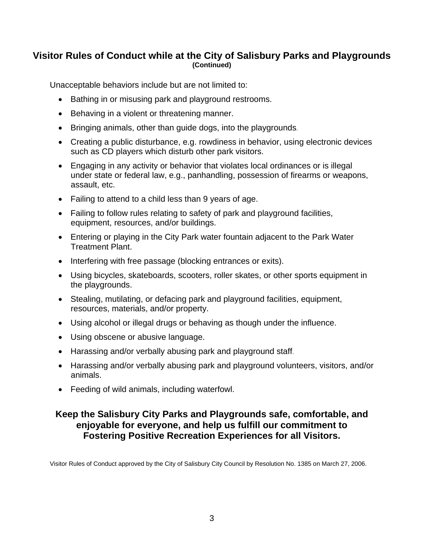### **Visitor Rules of Conduct while at the City of Salisbury Parks and Playgrounds (Continued)**

Unacceptable behaviors include but are not limited to:

- Bathing in or misusing park and playground restrooms.
- Behaving in a violent or threatening manner.
- Bringing animals, other than guide dogs, into the playgrounds.
- Creating a public disturbance, e.g. rowdiness in behavior, using electronic devices such as CD players which disturb other park visitors.
- Engaging in any activity or behavior that violates local ordinances or is illegal under state or federal law, e.g., panhandling, possession of firearms or weapons, assault, etc.
- Failing to attend to a child less than 9 years of age.
- Failing to follow rules relating to safety of park and playground facilities, equipment, resources, and/or buildings.
- Entering or playing in the City Park water fountain adjacent to the Park Water Treatment Plant.
- Interfering with free passage (blocking entrances or exits).
- Using bicycles, skateboards, scooters, roller skates, or other sports equipment in the playgrounds.
- Stealing, mutilating, or defacing park and playground facilities, equipment, resources, materials, and/or property.
- Using alcohol or illegal drugs or behaving as though under the influence.
- Using obscene or abusive language.
- Harassing and/or verbally abusing park and playground staff.
- Harassing and/or verbally abusing park and playground volunteers, visitors, and/or animals.
- Feeding of wild animals, including waterfowl.

### **Keep the Salisbury City Parks and Playgrounds safe, comfortable, and e njoyable for everyone, and help us fulfill our commitment to Fostering Positive Recreation Experiences for all Visitors.**

Visitor Rules of Conduct approved by the City of Salisbury City Council by Resolution No. 1385 on March 27, 2006.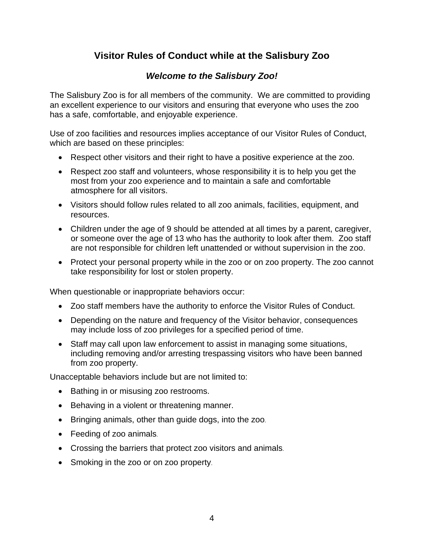# **Visitor Rules of Conduct while at the Salisbury Zoo**

## *Welcome to the Salisbury Zoo!*

The Salisbury Zoo is for all members of the community. We are committed to providing an excellent experience to our visitors and ensuring that everyone who uses the zoo has a safe, comfortable, and enjoyable experience.

Use of zoo facilities and resources implies acceptance of our Visitor Rules of Conduct, which are based on these principles:

- Respect other visitors and their right to have a positive experience at the zoo.
- Respect zoo staff and volunteers, whose responsibility it is to help you get the most from your zoo experience and to maintain a safe and comfortable atmosphere for all visitors.
- Visitors should follow rules related to all zoo animals, facilities, equipment, and resources.
- Children under the age of 9 should be attended at all times by a parent, caregiver, or someone over the age of 13 who has the authority to look after them. Zoo staff are not responsible for children left unattended or without supervision in the zoo.
- Protect your personal property while in the zoo or on zoo property. The zoo cannot take responsibility for lost or stolen property.

When questionable or inappropriate behaviors occur:

- Zoo staff members have the authority to enforce the Visitor Rules of Conduct.
- Depending on the nature and frequency of the Visitor behavior, consequences may include loss of zoo privileges for a specified period of time.
- Staff may call upon law enforcement to assist in managing some situations, including removing and/or arresting trespassing visitors who have been banned from zoo property.

Unacceptable behaviors include but are not limited to:

- Bathing in or misusing zoo restrooms.
- Behaving in a violent or threatening manner.
- Bringing animals, other than guide dogs, into the zoo.
- Feeding of zoo animals.
- . Crossing the barriers that protect zoo visitors and animals
- Smoking in the zoo or on zoo property.